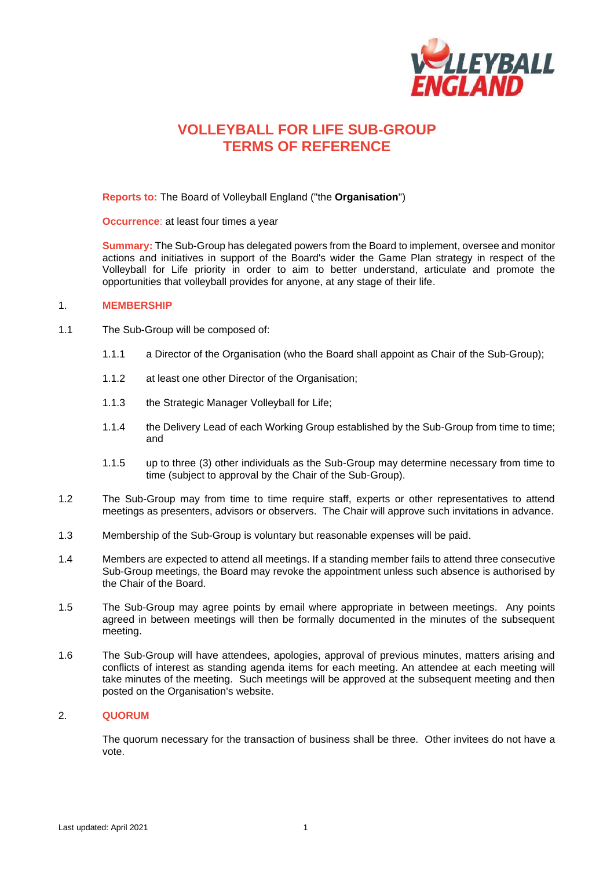

# **VOLLEYBALL FOR LIFE SUB-GROUP TERMS OF REFERENCE**

**Reports to:** The Board of Volleyball England ("the **Organisation**")

**Occurrence**: at least four times a year

**Summary:** The Sub-Group has delegated powers from the Board to implement, oversee and monitor actions and initiatives in support of the Board's wider the Game Plan strategy in respect of the Volleyball for Life priority in order to aim to better understand, articulate and promote the opportunities that volleyball provides for anyone, at any stage of their life.

#### 1. **MEMBERSHIP**

- 1.1 The Sub-Group will be composed of:
	- 1.1.1 a Director of the Organisation (who the Board shall appoint as Chair of the Sub-Group);
	- 1.1.2 at least one other Director of the Organisation;
	- 1.1.3 the Strategic Manager Volleyball for Life;
	- 1.1.4 the Delivery Lead of each Working Group established by the Sub-Group from time to time; and
	- 1.1.5 up to three (3) other individuals as the Sub-Group may determine necessary from time to time (subject to approval by the Chair of the Sub-Group).
- 1.2 The Sub-Group may from time to time require staff, experts or other representatives to attend meetings as presenters, advisors or observers. The Chair will approve such invitations in advance.
- 1.3 Membership of the Sub-Group is voluntary but reasonable expenses will be paid.
- 1.4 Members are expected to attend all meetings. If a standing member fails to attend three consecutive Sub-Group meetings, the Board may revoke the appointment unless such absence is authorised by the Chair of the Board.
- 1.5 The Sub-Group may agree points by email where appropriate in between meetings. Any points agreed in between meetings will then be formally documented in the minutes of the subsequent meeting.
- 1.6 The Sub-Group will have attendees, apologies, approval of previous minutes, matters arising and conflicts of interest as standing agenda items for each meeting. An attendee at each meeting will take minutes of the meeting. Such meetings will be approved at the subsequent meeting and then posted on the Organisation's website.

### 2. **QUORUM**

The quorum necessary for the transaction of business shall be three. Other invitees do not have a vote.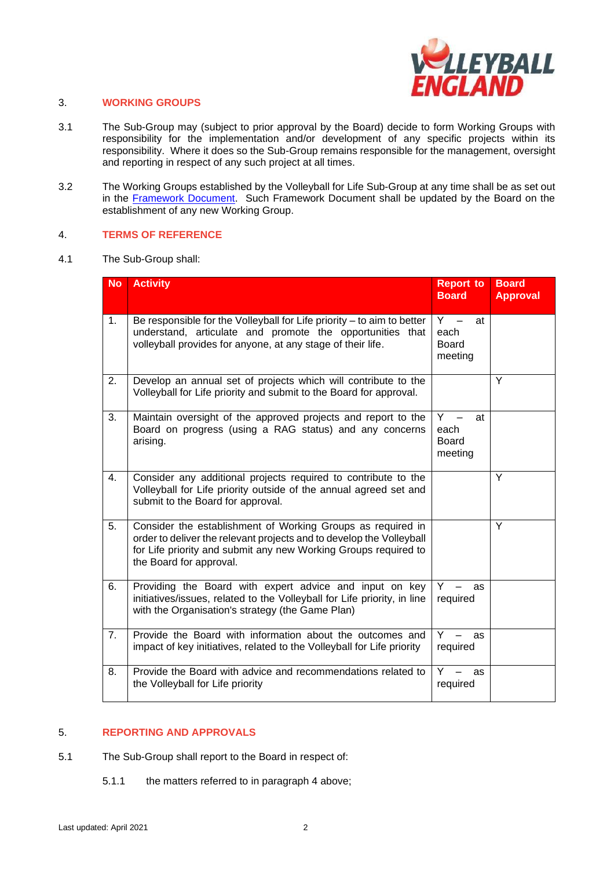

### 3. **WORKING GROUPS**

- 3.1 The Sub-Group may (subject to prior approval by the Board) decide to form Working Groups with responsibility for the implementation and/or development of any specific projects within its responsibility. Where it does so the Sub-Group remains responsible for the management, oversight and reporting in respect of any such project at all times.
- 3.2 The Working Groups established by the Volleyball for Life Sub-Group at any time shall be as set out in the [Framework Document.](https://www.volleyballengland.org/about_us/about_us_/governance) Such Framework Document shall be updated by the Board on the establishment of any new Working Group.

#### 4. **TERMS OF REFERENCE**

4.1 The Sub-Group shall:

| <b>No</b> | <b>Activity</b>                                                                                                                                                                                                                   | <b>Report to</b><br><b>Board</b>               | <b>Board</b><br><b>Approval</b> |
|-----------|-----------------------------------------------------------------------------------------------------------------------------------------------------------------------------------------------------------------------------------|------------------------------------------------|---------------------------------|
| 1.        | Be responsible for the Volleyball for Life priority - to aim to better<br>understand, articulate and promote the opportunities that<br>volleyball provides for anyone, at any stage of their life.                                | $Y -$<br>at<br>each<br><b>Board</b><br>meeting |                                 |
| 2.        | Develop an annual set of projects which will contribute to the<br>Volleyball for Life priority and submit to the Board for approval.                                                                                              |                                                | Y                               |
| 3.        | Maintain oversight of the approved projects and report to the<br>Board on progress (using a RAG status) and any concerns<br>arising.                                                                                              | Y.<br>at<br>each<br><b>Board</b><br>meeting    |                                 |
| 4.        | Consider any additional projects required to contribute to the<br>Volleyball for Life priority outside of the annual agreed set and<br>submit to the Board for approval.                                                          |                                                | Y                               |
| 5.        | Consider the establishment of Working Groups as required in<br>order to deliver the relevant projects and to develop the Volleyball<br>for Life priority and submit any new Working Groups required to<br>the Board for approval. |                                                | Y                               |
| 6.        | Providing the Board with expert advice and input on key<br>initiatives/issues, related to the Volleyball for Life priority, in line<br>with the Organisation's strategy (the Game Plan)                                           | Y<br>as<br>required                            |                                 |
| 7.        | Provide the Board with information about the outcomes and<br>impact of key initiatives, related to the Volleyball for Life priority                                                                                               | Y<br>as<br>required                            |                                 |
| 8.        | Provide the Board with advice and recommendations related to<br>the Volleyball for Life priority                                                                                                                                  | Y.<br>as<br>required                           |                                 |

## 5. **REPORTING AND APPROVALS**

- 5.1 The Sub-Group shall report to the Board in respect of:
	- 5.1.1 the matters referred to in paragraph 4 above;